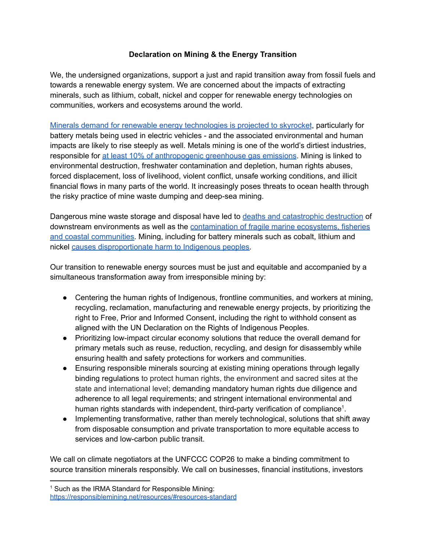## **Declaration on Mining & the Energy Transition**

We, the undersigned organizations, support a just and rapid transition away from fossil fuels and towards a renewable energy system. We are concerned about the impacts of extracting minerals, such as lithium, cobalt, nickel and copper for renewable energy technologies on communities, workers and ecosystems around the world.

Minerals demand for renewable energy [technologies](https://earthworks.org/publications/responsible-minerals-sourcing-for-renewable-energy/) is projected to skyrocket, particularly for battery metals being used in electric vehicles - and the associated environmental and human impacts are likely to rise steeply as well. Metals mining is one of the world's dirtiest industries, responsible for at least 10% of [anthropogenic](http://www.resourcepanel.org/reports/global-resources-outlook) greenhouse gas emissions. Mining is linked to environmental destruction, freshwater contamination and depletion, human rights abuses, forced displacement, loss of livelihood, violent conflict, unsafe working conditions, and illicit financial flows in many parts of the world. It increasingly poses threats to ocean health through the risky practice of mine waste dumping and deep-sea mining.

Dangerous mine waste storage and disposal have led to deaths and [catastrophic](https://earthworks.org/publications/safety-first-guidelines-for-responsible-mine-tailings-management/) destruction of downstream environments as well as the [contamination](https://earthworks.org/campaigns/ditch-ocean-dumping/) of fragile marine ecosystems, fisheries and coastal [communities.](https://earthworks.org/campaigns/ditch-ocean-dumping/) Mining, including for battery minerals such as cobalt, lithium and nickel causes [disproportionate](https://www.msci.com/www/blog-posts/mining-energy-transition-metals/02531033947) harm to Indigenous peoples.

Our transition to renewable energy sources must be just and equitable and accompanied by a simultaneous transformation away from irresponsible mining by:

- Centering the human rights of Indigenous, frontline communities, and workers at mining, recycling, reclamation, manufacturing and renewable energy projects, by prioritizing the right to Free, Prior and Informed Consent, including the right to withhold consent as aligned with the UN Declaration on the Rights of Indigenous Peoples.
- Prioritizing low-impact circular economy solutions that reduce the overall demand for primary metals such as reuse, reduction, recycling, and design for disassembly while ensuring health and safety protections for workers and communities.
- Ensuring responsible minerals sourcing at existing mining operations through legally binding regulations to protect human rights, the environment and sacred sites at the state and international level; demanding mandatory human rights due diligence and adherence to all legal requirements; and stringent international environmental and human rights standards with independent, third-party verification of compliance<sup>1</sup>.
- Implementing transformative, rather than merely technological, solutions that shift away from disposable consumption and private transportation to more equitable access to services and low-carbon public transit.

We call on climate negotiators at the UNFCCC COP26 to make a binding commitment to source transition minerals responsibly. We call on businesses, financial institutions, investors

<sup>1</sup> Such as the IRMA Standard for Responsible Mining: <https://responsiblemining.net/resources/#resources-standard>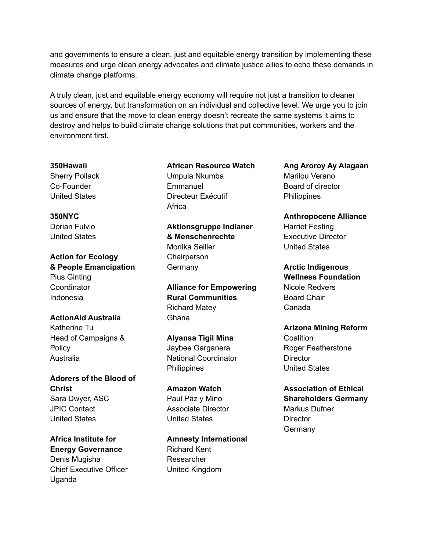and governments to ensure a clean, just and equitable energy transition by implementing these measures and urge clean energy advocates and climate justice allies to echo these demands in climate change platforms.

A truly clean, just and equitable energy economy will require not just a transition to cleaner sources of energy, but transformation on an individual and collective level. We urge you to join us and ensure that the move to clean energy doesn't recreate the same systems it aims to destroy and helps to build climate change solutions that put communities, workers and the environment first.

#### **350Hawaii**

Sherry Pollack Co-Founder United States

## **350NYC**

Dorian Fulvio United States

**Action for Ecology & People Emancipation** Pius Ginting **Coordinator** Indonesia

### **ActionAid Australia**

Katherine Tu Head of Campaigns & Policy Australia

**Adorers of the Blood of Christ** Sara Dwyer, ASC JPIC Contact United States

**Africa Institute for Energy Governance** Denis Mugisha Chief Executive Officer Uganda

## **African Resource Watch** Umpula Nkumba **Emmanuel** Directeur Exécutif Africa

**Aktionsgruppe Indianer & Menschenrechte** Monika Seiller **Chairperson Germany** 

**Alliance for Empowering Rural Communities** Richard Matey **Ghana** 

## **Alyansa Tigil Mina** Jaybee Garganera

National Coordinator **Philippines** 

## **Amazon Watch**

Paul Paz y Mino Associate Director United States

**Amnesty International** Richard Kent Researcher United Kingdom

**Ang Aroroy Ay Alagaan** Marilou Verano Board of director **Philippines** 

## **Anthropocene Alliance** Harriet Festing Executive Director United States

**Arctic Indigenous Wellness Foundation** Nicole Redvers Board Chair Canada

## **Arizona Mining Reform**

**Coalition** Roger Featherstone **Director** United States

# **Association of Ethical Shareholders Germany**

Markus Dufner **Director Germany**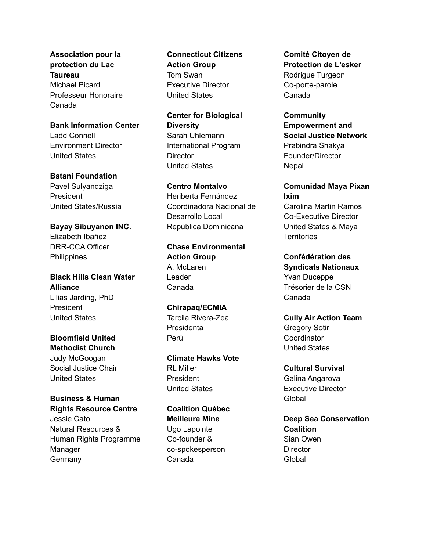**Association pour la protection du Lac Taureau** Michael Picard Professeur Honoraire Canada

**Bank Information Center** Ladd Connell Environment Director United States

**Batani Foundation** Pavel Sulyandziga

President United States/Russia

**Bayay Sibuyanon INC.** Elizabeth Ibañez DRR-CCA Officer **Philippines** 

**Black Hills Clean Water Alliance** Lilias Jarding, PhD President United States

**Bloomfield United Methodist Church** Judy McGoogan Social Justice Chair United States

**Business & Human Rights Resource Centre** Jessie Cato Natural Resources & Human Rights Programme Manager **Germany** 

**Connecticut Citizens Action Group** Tom Swan Executive Director United States

**Center for Biological Diversity** Sarah Uhlemann International Program **Director** United States

**Centro Montalvo** Heriberta Fernández Coordinadora Nacional de Desarrollo Local República Dominicana

**Chase Environmental Action Group** A. McLaren Leader Canada

**Chirapaq/ECMIA** Tarcila Rivera-Zea Presidenta Perú

**Climate Hawks Vote** RL Miller President United States

**Coalition Québec Meilleure Mine** Ugo Lapointe Co-founder & co-spokesperson Canada

**Comité Citoyen de Protection de L'esker** Rodrigue Turgeon Co-porte-parole Canada

**Community Empowerment and Social Justice Network** Prabindra Shakya Founder/Director **Nepal** 

**Comunidad Maya Pixan Ixim** Carolina Martin Ramos Co-Executive Director United States & Maya **Territories** 

**Confédération des Syndicats Nationaux** Yvan Duceppe Trésorier de la CSN Canada

**Cully Air Action Team** Gregory Sotir **Coordinator** United States

**Cultural Survival** Galina Angarova Executive Director **Global** 

**Deep Sea Conservation Coalition** Sian Owen **Director Global**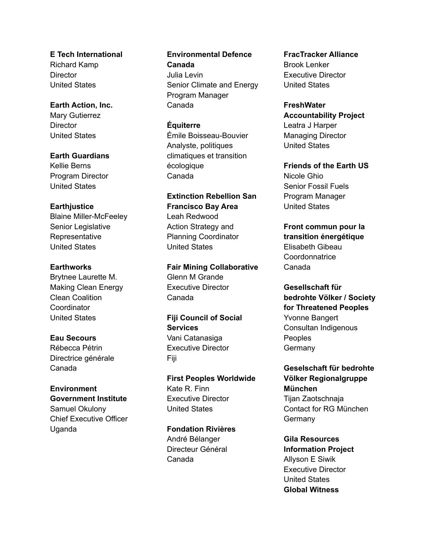**E Tech International** Richard Kamp **Director** United States

**Earth Action, Inc.** Mary Gutierrez **Director** United States

**Earth Guardians** Kellie Berns Program Director United States

#### **Earthjustice**

Blaine Miller-McFeeley Senior Legislative **Representative** United States

#### **Earthworks**

Brytnee Laurette M. Making Clean Energy Clean Coalition **Coordinator** United States

#### **Eau Secours**

Rébecca Pétrin Directrice générale Canada

## **Environment Government Institute**

Samuel Okulony Chief Executive Officer Uganda

## **Environmental Defence Canada**

Julia Levin Senior Climate and Energy Program Manager Canada

#### **Équiterre**

Émile Boisseau-Bouvier Analyste, politiques climatiques et transition écologique Canada

**Extinction Rebellion San Francisco Bay Area** Leah Redwood Action Strategy and Planning Coordinator United States

**Fair Mining Collaborative** Glenn M Grande Executive Director Canada

**Fiji Council of Social Services** Vani Catanasiga Executive Director Fiji

**First Peoples Worldwide** Kate R. Finn Executive Director United States

**Fondation Rivières** André Bélanger Directeur Général Canada

### **FracTracker Alliance** Brook Lenker Executive Director United States

**FreshWater Accountability Project** Leatra J Harper Managing Director United States

**Friends of the Earth US** Nicole Ghio Senior Fossil Fuels Program Manager United States

**Front commun pour la transition énergétique** Elisabeth Gibeau **Coordonnatrice** Canada

**Gesellschaft für bedrohte Völker / Society for Threatened Peoples** Yvonne Bangert Consultan Indigenous Peoples **Germany** 

**Geselschaft für bedrohte Völker Regionalgruppe München** Tijan Zaotschnaja Contact for RG München **Germany** 

**Gila Resources Information Project** Allyson E Siwik Executive Director United States **Global Witness**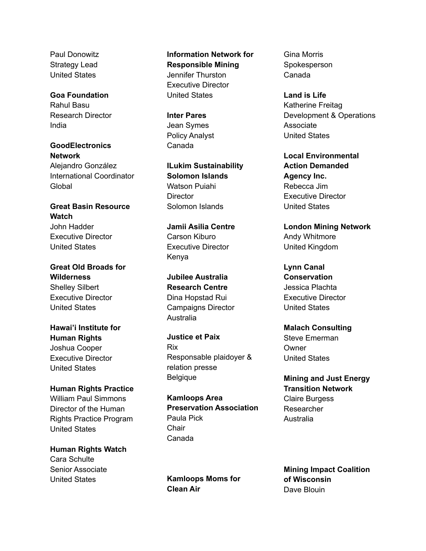Paul Donowitz Strategy Lead United States

#### **Goa Foundation**

Rahul Basu Research Director India

**GoodElectronics Network** Alejandro González International Coordinator **Global** 

**Great Basin Resource Watch** John Hadder Executive Director United States

**Great Old Broads for Wilderness** Shelley Silbert Executive Director United States

**Hawai'i Institute for Human Rights** Joshua Cooper Executive Director United States

**Human Rights Practice** William Paul Simmons Director of the Human Rights Practice Program United States

**Human Rights Watch** Cara Schulte Senior Associate United States

**Information Network for Responsible Mining** Jennifer Thurston Executive Director United States

**Inter Pares** Jean Symes Policy Analyst Canada

**ILukim Sustainability Solomon Islands** Watson Puiahi **Director** Solomon Islands

**Jamii Asilia Centre** Carson Kiburo Executive Director Kenya

**Jubilee Australia Research Centre** Dina Hopstad Rui Campaigns Director Australia

**Justice et Paix** Rix Responsable plaidoyer & relation presse Belgique

**Kamloops Area Preservation Association** Paula Pick **Chair** Canada

**Kamloops Moms for Clean Air**

Gina Morris Spokesperson Canada

**Land is Life** Katherine Freitag Development & Operations Associate United States

**Local Environmental Action Demanded Agency Inc.** Rebecca Jim Executive Director United States

**London Mining Network** Andy Whitmore United Kingdom

**Lynn Canal Conservation** Jessica Plachta Executive Director United States

**Malach Consulting** Steve Emerman **Owner** United States

**Mining and Just Energy Transition Network** Claire Burgess Researcher Australia

**Mining Impact Coalition of Wisconsin** Dave Blouin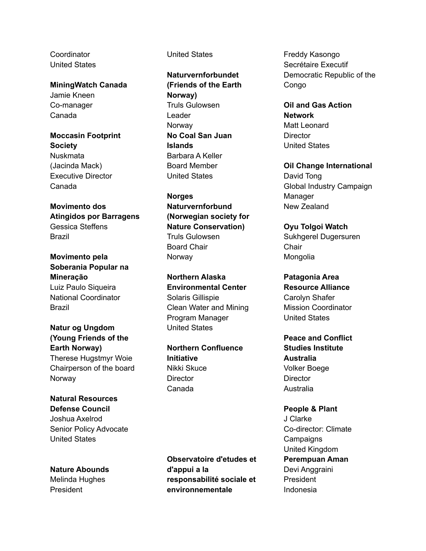**Coordinator** United States

**MiningWatch Canada** Jamie Kneen Co-manager Canada

**Moccasin Footprint Society** Nuskmata (Jacinda Mack) Executive Director Canada

**Movimento dos Atingidos por Barragens** Gessica Steffens Brazil

**Movimento pela Soberania Popular na Mineração** Luiz Paulo Siqueira National Coordinator Brazil

**Natur og Ungdom (Young Friends of the Earth Norway)** Therese Hugstmyr Woie Chairperson of the board Norway

**Natural Resources Defense Council** Joshua Axelrod Senior Policy Advocate United States

**Nature Abounds** Melinda Hughes President

United States

**Naturvernforbundet (Friends of the Earth Norway)** Truls Gulowsen Leader Norway **No Coal San Juan Islands** Barbara A Keller Board Member United States

**Norges**

**Naturvernforbund (Norwegian society for Nature Conservation)** Truls Gulowsen Board Chair **Norway** 

**Northern Alaska Environmental Center** Solaris Gillispie Clean Water and Mining Program Manager United States

**Northern Confluence Initiative** Nikki Skuce **Director** Canada

**Observatoire d'etudes et d'appui a la responsabilité sociale et environnementale**

Freddy Kasongo Secrétaire Executif Democratic Republic of the Congo

**Oil and Gas Action Network** Matt Leonard **Director** United States

**Oil Change International** David Tong Global Industry Campaign Manager New Zealand

**Oyu Tolgoi Watch** Sukhgerel Dugersuren **Chair** Mongolia

**Patagonia Area Resource Alliance** Carolyn Shafer Mission Coordinator United States

**Peace and Conflict Studies Institute Australia** Volker Boege **Director** Australia

**People & Plant** J Clarke Co-director: Climate **Campaigns** United Kingdom **Perempuan Aman** Devi Anggraini President Indonesia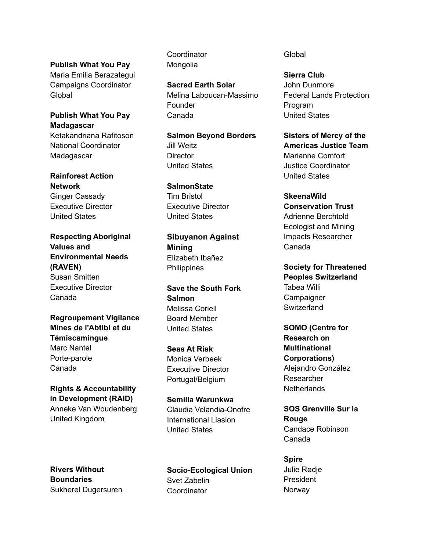**Publish What You Pay** Maria Emilia Berazategui Campaigns Coordinator Global

# **Publish What You Pay Madagascar**

Ketakandriana Rafitoson National Coordinator Madagascar

**Rainforest Action Network** Ginger Cassady Executive Director United States

**Respecting Aboriginal Values and Environmental Needs (RAVEN)** Susan Smitten Executive Director Canada

**Regroupement Vigilance Mines de l'Abtibi et du Témiscamingue** Marc Nantel Porte-parole Canada

**Rights & Accountability in Development (RAID)** Anneke Van Woudenberg United Kingdom

**Coordinator** Mongolia

**Sacred Earth Solar** Melina Laboucan-Massimo Founder Canada

**Salmon Beyond Borders** Jill Weitz **Director** United States

**SalmonState** Tim Bristol Executive Director United States

**Sibuyanon Against Mining** Elizabeth Ibañez **Philippines** 

**Save the South Fork Salmon** Melissa Coriell Board Member United States

**Seas At Risk** Monica Verbeek Executive Director Portugal/Belgium

**Semilla Warunkwa** Claudia Velandia-Onofre International Liasion United States

**Rivers Without Boundaries** Sukherel Dugersuren

**Socio-Ecological Union** Svet Zabelin **Coordinator** 

**Global** 

**Sierra Club** John Dunmore Federal Lands Protection Program United States

**Sisters of Mercy of the Americas Justice Team** Marianne Comfort Justice Coordinator United States

**SkeenaWild Conservation Trust** Adrienne Berchtold Ecologist and Mining Impacts Researcher Canada

**Society for Threatened Peoples Switzerland** Tabea Willi **Campaigner Switzerland** 

**SOMO (Centre for Research on Multinational Corporations)** Alejandro González Researcher **Netherlands** 

**SOS Grenville Sur la Rouge** Candace Robinson Canada

**Spire** Julie Rødje President Norway